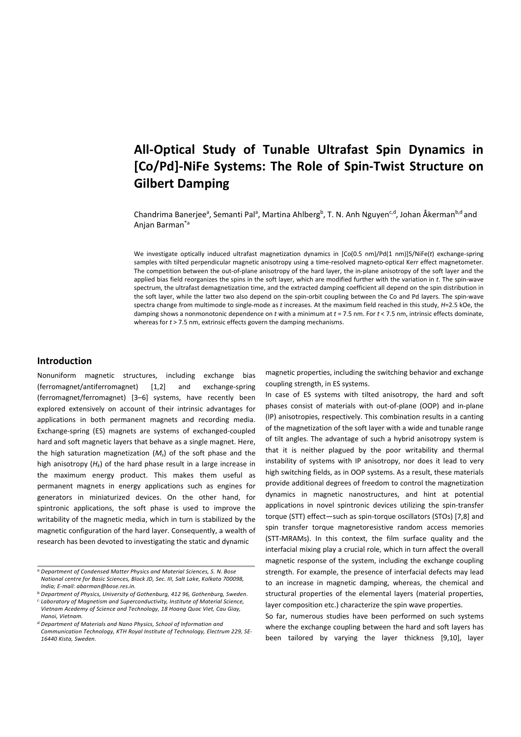# **All-Optical Study of Tunable Ultrafast Spin Dynamics in [Co/Pd]-NiFe Systems: The Role of Spin-Twist Structure on Gilbert Damping**

Chandrima Banerjee<sup>a</sup>, Semanti Pal<sup>a</sup>, Martina Ahlberg<sup>b</sup>, T. N. Anh Nguyen<sup>c,d</sup>, Johan Åkerman<sup>b,d</sup> and Anjan Barman\*a

We investigate optically induced ultrafast magnetization dynamics in [Co(0.5 nm)/Pd(1 nm)]5/NiFe(*t*) exchange-spring samples with tilted perpendicular magnetic anisotropy using a time-resolved magneto-optical Kerr effect magnetometer. The competition between the out-of-plane anisotropy of the hard layer, the in-plane anisotropy of the soft layer and the applied bias field reorganizes the spins in the soft layer, which are modified further with the variation in *t*. The spin-wave spectrum, the ultrafast demagnetization time, and the extracted damping coefficient all depend on the spin distribution in the soft layer, while the latter two also depend on the spin-orbit coupling between the Co and Pd layers. The spin-wave spectra change from multimode to single-mode as *t* increases. At the maximum field reached in this study, *H*=2.5 kOe, the damping shows a nonmonotonic dependence on *t* with a minimum at *t* = 7.5 nm. For *t* < 7.5 nm, intrinsic effects dominate, whereas for *t* > 7.5 nm, extrinsic effects govern the damping mechanisms.

# **Introduction**

Nonuniform magnetic structures, including exchange bias (ferromagnet/antiferromagnet) [1,2] and exchange-spring (ferromagnet/ferromagnet) [3–6] systems, have recently been explored extensively on account of their intrinsic advantages for applications in both permanent magnets and recording media. Exchange-spring (ES) magnets are systems of exchanged-coupled hard and soft magnetic layers that behave as a single magnet. Here, the high saturation magnetization (*Ms*) of the soft phase and the high anisotropy (*Hk*) of the hard phase result in a large increase in the maximum energy product. This makes them useful as permanent magnets in energy applications such as engines for generators in miniaturized devices. On the other hand, for spintronic applications, the soft phase is used to improve the writability of the magnetic media, which in turn is stabilized by the magnetic configuration of the hard layer. Consequently, a wealth of research has been devoted to investigating the static and dynamic

magnetic properties, including the switching behavior and exchange coupling strength, in ES systems.

In case of ES systems with tilted anisotropy, the hard and soft phases consist of materials with out-of-plane (OOP) and in-plane (IP) anisotropies, respectively. This combination results in a canting of the magnetization of the soft layer with a wide and tunable range of tilt angles. The advantage of such a hybrid anisotropy system is that it is neither plagued by the poor writability and thermal instability of systems with IP anisotropy, nor does it lead to very high switching fields, as in OOP systems. As a result, these materials provide additional degrees of freedom to control the magnetization dynamics in magnetic nanostructures, and hint at potential applications in novel spintronic devices utilizing the spin-transfer torque (STT) effect—such as spin-torque oscillators (STOs) [7,8] and spin transfer torque magnetoresistive random access memories (STT-MRAMs). In this context, the film surface quality and the interfacial mixing play a crucial role, which in turn affect the overall magnetic response of the system, including the exchange coupling strength. For example, the presence of interfacial defects may lead to an increase in magnetic damping, whereas, the chemical and structural properties of the elemental layers (material properties, layer composition etc.) characterize the spin wave properties.

So far, numerous studies have been performed on such systems where the exchange coupling between the hard and soft layers has been tailored by varying the layer thickness [9,10], layer

*a.Department of Condensed Matter Physics and Material Sciences, S. N. Bose National centre for Basic Sciences, Block JD, Sec. III, Salt Lake, Kolkata 700098, India; E-mail: abarman@bose.res.in.*

*b.Department of Physics, University of Gothenburg, 412 96, Gothenburg, Sweden. c. Laboratory of Magnetism and Superconductivity, Institute of Material Science, Vietnam Acedemy of Science and Technology, 18 Hoang Quoc Viet, Cau Giay, Hanoi, Vietnam.*

*d.Department of Materials and Nano Physics, School of Information and Communication Technology, KTH Royal Institute of Technology, Electrum 229, SE-16440 Kista, Sweden.*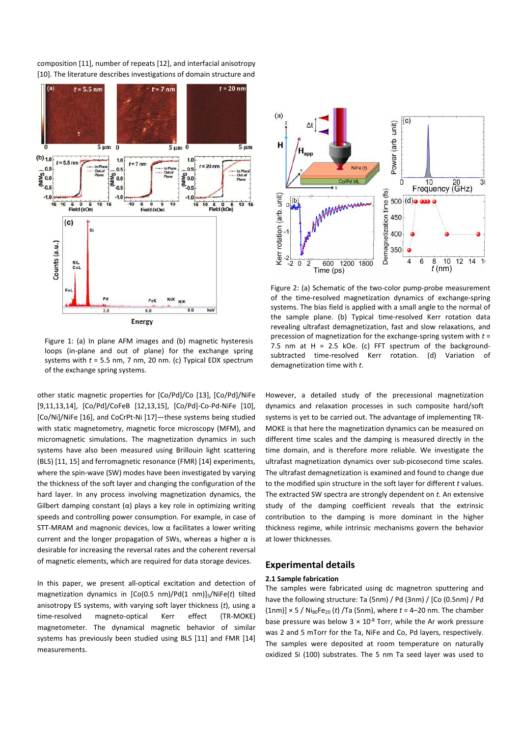composition [11], number of repeats [12], and interfacial anisotropy [10]. The literature describes investigations of domain structure and



Figure 1: (a) In plane AFM images and (b) magnetic hysteresis loops (in-plane and out of plane) for the exchange spring systems with *t* = 5.5 nm, 7 nm, 20 nm. (c) Typical EDX spectrum of the exchange spring systems.

other static magnetic properties for [Co/Pd]/Co [13], [Co/Pd]/NiFe [9,11,13,14], [Co/Pd]/CoFeB [12,13,15], [Co/Pd]-Co-Pd-NiFe [10], [Co/Ni]/NiFe [16], and CoCrPt-Ni [17]—these systems being studied with static magnetometry, magnetic force microscopy (MFM), and micromagnetic simulations. The magnetization dynamics in such systems have also been measured using Brillouin light scattering (BLS) [11, 15] and ferromagnetic resonance (FMR) [14] experiments, where the spin-wave (SW) modes have been investigated by varying the thickness of the soft layer and changing the configuration of the hard layer. In any process involving magnetization dynamics, the Gilbert damping constant  $(\alpha)$  plays a key role in optimizing writing speeds and controlling power consumption. For example, in case of STT-MRAM and magnonic devices, low α facilitates a lower writing current and the longer propagation of SWs, whereas a higher  $\alpha$  is desirable for increasing the reversal rates and the coherent reversal of magnetic elements, which are required for data storage devices.

In this paper, we present all-optical excitation and detection of magnetization dynamics in [Co(0.5 nm)/Pd(1 nm)]5/NiFe(*t*) tilted anisotropy ES systems, with varying soft layer thickness (*t*), using a time-resolved magneto-optical Kerr effect (TR-MOKE) magnetometer. The dynamical magnetic behavior of similar systems has previously been studied using BLS [11] and FMR [14] measurements.



Figure 2: (a) Schematic of the two-color pump-probe measurement of the time-resolved magnetization dynamics of exchange-spring systems. The bias field is applied with a small angle to the normal of the sample plane. (b) Typical time-resolved Kerr rotation data revealing ultrafast demagnetization, fast and slow relaxations, and precession of magnetization for the exchange-spring system with *t* = 7.5 nm at H = 2.5 kOe. (c) FFT spectrum of the backgroundsubtracted time-resolved Kerr rotation. (d) Variation demagnetization time with *t*.

However, a detailed study of the precessional magnetization dynamics and relaxation processes in such composite hard/soft systems is yet to be carried out. The advantage of implementing TR-MOKE is that here the magnetization dynamics can be measured on different time scales and the damping is measured directly in the time domain, and is therefore more reliable. We investigate the ultrafast magnetization dynamics over sub-picosecond time scales. The ultrafast demagnetization is examined and found to change due to the modified spin structure in the soft layer for different *t* values. The extracted SW spectra are strongly dependent on *t*. An extensive study of the damping coefficient reveals that the extrinsic contribution to the damping is more dominant in the higher thickness regime, while intrinsic mechanisms govern the behavior at lower thicknesses.

# **Experimental details**

## **2.1 Sample fabrication**

The samples were fabricated using dc magnetron sputtering and have the following structure: Ta (5nm) / Pd (3nm) / [Co (0.5nm) / Pd  $(1nm)$ ]  $\times$  5 / Ni<sub>80</sub>Fe<sub>20</sub> (*t*) /Ta (5nm), where *t* = 4–20 nm. The chamber base pressure was below  $3 \times 10^{-8}$  Torr, while the Ar work pressure was 2 and 5 mTorr for the Ta, NiFe and Co, Pd layers, respectively. The samples were deposited at room temperature on naturally oxidized Si (100) substrates. The 5 nm Ta seed layer was used to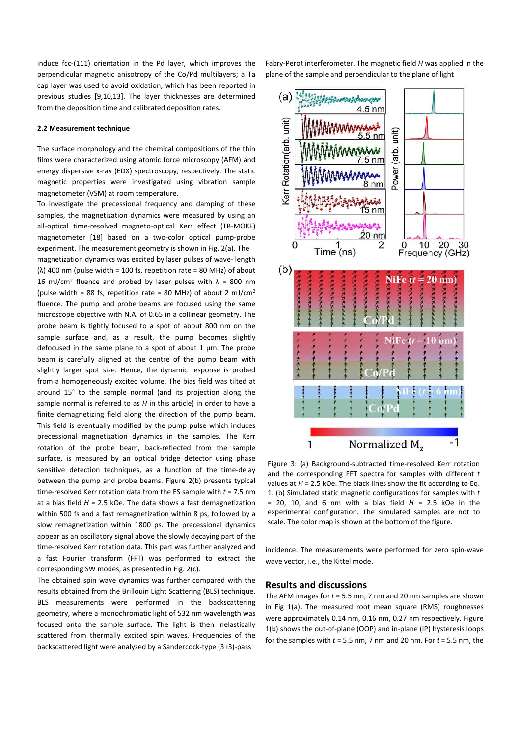induce fcc-(111) orientation in the Pd layer, which improves the perpendicular magnetic anisotropy of the Co/Pd multilayers; a Ta cap layer was used to avoid oxidation, which has been reported in previous studies [9,10,13]. The layer thicknesses are determined from the deposition time and calibrated deposition rates.

#### **2.2 Measurement technique**

The surface morphology and the chemical compositions of the thin films were characterized using atomic force microscopy (AFM) and energy dispersive x-ray (EDX) spectroscopy, respectively. The static magnetic properties were investigated using vibration sample magnetometer (VSM) at room temperature.

To investigate the precessional frequency and damping of these samples, the magnetization dynamics were measured by using an all-optical time-resolved magneto-optical Kerr effect (TR-MOKE) magnetometer [18] based on a two-color optical pump-probe experiment. The measurement geometry is shown in Fig. 2(a). The

magnetization dynamics was excited by laser pulses of wave- length (λ) 400 nm (pulse width = 100 fs, repetition rate = 80 MHz) of about 16 mJ/cm<sup>2</sup> fluence and probed by laser pulses with  $\lambda$  = 800 nm (pulse width = 88 fs, repetition rate = 80 MHz) of about 2 mJ/cm<sup>2</sup> fluence. The pump and probe beams are focused using the same microscope objective with N.A. of 0.65 in a collinear geometry. The probe beam is tightly focused to a spot of about 800 nm on the sample surface and, as a result, the pump becomes slightly defocused in the same plane to a spot of about  $1 \mu m$ . The probe beam is carefully aligned at the centre of the pump beam with slightly larger spot size. Hence, the dynamic response is probed from a homogeneously excited volume. The bias field was tilted at around 15° to the sample normal (and its projection along the sample normal is referred to as *H* in this article) in order to have a finite demagnetizing field along the direction of the pump beam. This field is eventually modified by the pump pulse which induces precessional magnetization dynamics in the samples. The Kerr rotation of the probe beam, back-reflected from the sample surface, is measured by an optical bridge detector using phase sensitive detection techniques, as a function of the time-delay between the pump and probe beams. Figure 2(b) presents typical time-resolved Kerr rotation data from the ES sample with *t* = 7.5 nm at a bias field *H* = 2.5 kOe. The data shows a fast demagnetization within 500 fs and a fast remagnetization within 8 ps, followed by a slow remagnetization within 1800 ps. The precessional dynamics appear as an oscillatory signal above the slowly decaying part of the time-resolved Kerr rotation data. This part was further analyzed and a fast Fourier transform (FFT) was performed to extract the corresponding SW modes, as presented in Fig. 2(c).

The obtained spin wave dynamics was further compared with the results obtained from the Brillouin Light Scattering (BLS) technique. BLS measurements were performed in the backscattering geometry, where a monochromatic light of 532 nm wavelength was focused onto the sample surface. The light is then inelastically scattered from thermally excited spin waves. Frequencies of the backscattered light were analyzed by a Sandercock-type (3+3)-pass

Fabry-Perot interferometer. The magnetic field *H* was applied in the plane of the sample and perpendicular to the plane of light



Figure 3: (a) Background-subtracted time-resolved Kerr rotation and the corresponding FFT spectra for samples with different *t* values at *H* = 2.5 kOe. The black lines show the fit according to Eq. 1. (b) Simulated static magnetic configurations for samples with *t* = 20, 10, and 6 nm with a bias field *H* = 2.5 kOe in the experimental configuration. The simulated samples are not to scale. The color map is shown at the bottom of the figure.

incidence. The measurements were performed for zero spin-wave wave vector, i.e., the Kittel mode.

## **Results and discussions**

The AFM images for *t* = 5.5 nm, 7 nm and 20 nm samples are shown in Fig 1(a). The measured root mean square (RMS) roughnesses were approximately 0.14 nm, 0.16 nm, 0.27 nm respectively. Figure 1(b) shows the out-of-plane (OOP) and in-plane (IP) hysteresis loops for the samples with *t* = 5.5 nm, 7 nm and 20 nm. For *t* = 5.5 nm, the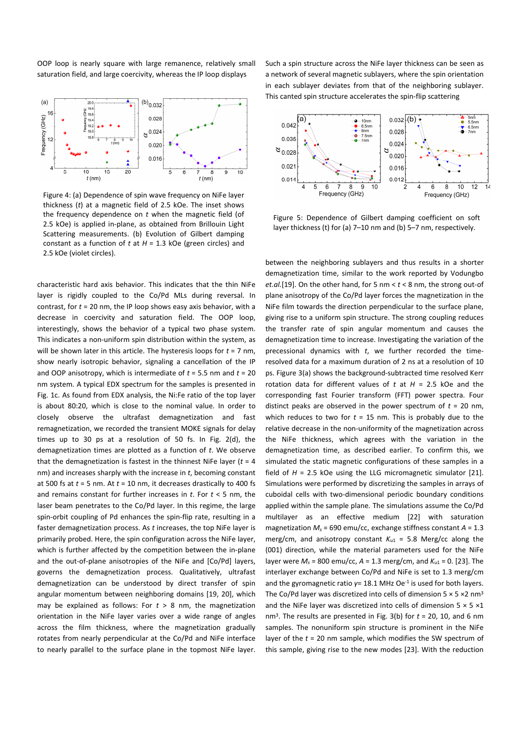OOP loop is nearly square with large remanence, relatively small saturation field, and large coercivity, whereas the IP loop displays



Figure 4: (a) Dependence of spin wave frequency on NiFe layer thickness (*t*) at a magnetic field of 2.5 kOe. The inset shows the frequency dependence on *t* when the magnetic field (of 2.5 kOe) is applied in-plane, as obtained from Brillouin Light Scattering measurements. (b) Evolution of Gilbert damping constant as a function of *t* at *H* = 1.3 kOe (green circles) and 2.5 kOe (violet circles).

characteristic hard axis behavior. This indicates that the thin NiFe layer is rigidly coupled to the Co/Pd MLs during reversal. In contrast, for *t* = 20 nm, the IP loop shows easy axis behavior, with a decrease in coercivity and saturation field. The OOP loop, interestingly, shows the behavior of a typical two phase system. This indicates a non-uniform spin distribution within the system, as will be shown later in this article. The hysteresis loops for *t* = 7 nm, show nearly isotropic behavior, signaling a cancellation of the IP and OOP anisotropy, which is intermediate of *t* = 5.5 nm and *t* = 20 nm system. A typical EDX spectrum for the samples is presented in Fig. 1c. As found from EDX analysis, the Ni:Fe ratio of the top layer is about 80:20, which is close to the nominal value. In order to closely observe the ultrafast demagnetization and fast remagnetization, we recorded the transient MOKE signals for delay times up to 30 ps at a resolution of 50 fs. In Fig. 2(d), the demagnetization times are plotted as a function of *t*. We observe that the demagnetization is fastest in the thinnest NiFe layer (*t* = 4 nm) and increases sharply with the increase in *t*, becoming constant at 500 fs at *t* = 5 nm. At *t* = 10 nm, it decreases drastically to 400 fs and remains constant for further increases in *t*. For *t* < 5 nm, the laser beam penetrates to the Co/Pd layer. In this regime, the large spin-orbit coupling of Pd enhances the spin-flip rate, resulting in a faster demagnetization process. As *t* increases, the top NiFe layer is primarily probed. Here, the spin configuration across the NiFe layer, which is further affected by the competition between the in-plane and the out-of-plane anisotropies of the NiFe and [Co/Pd] layers, governs the demagnetization process. Qualitatively, ultrafast demagnetization can be understood by direct transfer of spin angular momentum between neighboring domains [19, 20], which may be explained as follows: For *t* > 8 nm, the magnetization orientation in the NiFe layer varies over a wide range of angles across the film thickness, where the magnetization gradually rotates from nearly perpendicular at the Co/Pd and NiFe interface to nearly parallel to the surface plane in the topmost NiFe layer.

Such a spin structure across the NiFe layer thickness can be seen as a network of several magnetic sublayers, where the spin orientation in each sublayer deviates from that of the neighboring sublayer. This canted spin structure accelerates the spin-flip scattering



Figure 5: Dependence of Gilbert damping coefficient on soft layer thickness (t) for (a) 7–10 nm and (b) 5–7 nm, respectively.

between the neighboring sublayers and thus results in a shorter demagnetization time, similar to the work reported by Vodungbo *et.al.*[19]. On the other hand, for 5 nm < *t* < 8 nm, the strong out-of plane anisotropy of the Co/Pd layer forces the magnetization in the NiFe film towards the direction perpendicular to the surface plane, giving rise to a uniform spin structure. The strong coupling reduces the transfer rate of spin angular momentum and causes the demagnetization time to increase. Investigating the variation of the precessional dynamics with *t*, we further recorded the timeresolved data for a maximum duration of 2 ns at a resolution of 10 ps. Figure 3(a) shows the background-subtracted time resolved Kerr rotation data for different values of *t* at *H* = 2.5 kOe and the corresponding fast Fourier transform (FFT) power spectra. Four distinct peaks are observed in the power spectrum of  $t = 20$  nm, which reduces to two for  $t = 15$  nm. This is probably due to the relative decrease in the non-uniformity of the magnetization across the NiFe thickness, which agrees with the variation in the demagnetization time, as described earlier. To confirm this, we simulated the static magnetic configurations of these samples in a field of *H* = 2.5 kOe using the LLG micromagnetic simulator [21]. Simulations were performed by discretizing the samples in arrays of cuboidal cells with two-dimensional periodic boundary conditions applied within the sample plane. The simulations assume the Co/Pd multilayer as an effective medium [22] with saturation magnetization *Ms* = 690 emu/cc, exchange stiffness constant *A* = 1.3 merg/cm, and anisotropy constant  $K_{u1}$  = 5.8 Merg/cc along the (001) direction, while the material parameters used for the NiFe layer were *Ms* = 800 emu/cc, *A* = 1.3 merg/cm, and *K*u1 = 0. [23]. The interlayer exchange between Co/Pd and NiFe is set to 1.3 merg/cm and the gyromagnetic ratio  $y=18.1$  MHz Oe<sup>-1</sup> is used for both layers. The Co/Pd layer was discretized into cells of dimension  $5 \times 5 \times 2$  nm<sup>3</sup> and the NiFe layer was discretized into cells of dimension  $5 \times 5 \times 1$ nm3. The results are presented in Fig. 3(b) for *t* = 20, 10, and 6 nm samples. The nonuniform spin structure is prominent in the NiFe layer of the *t* = 20 nm sample, which modifies the SW spectrum of this sample, giving rise to the new modes [23]. With the reduction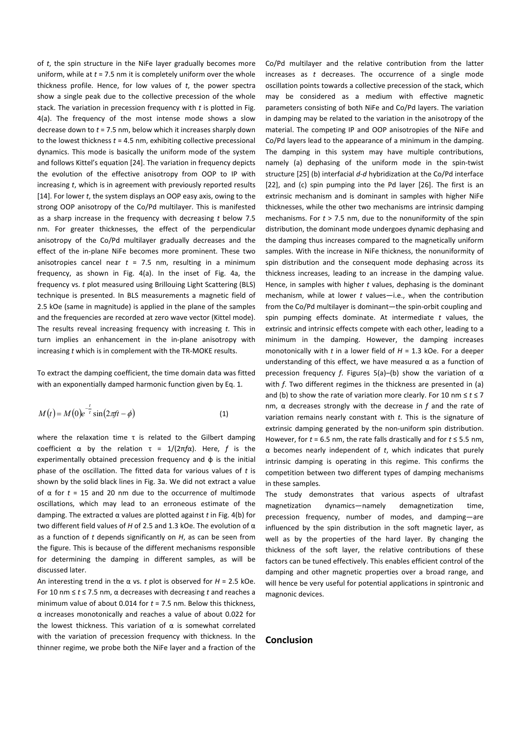of *t*, the spin structure in the NiFe layer gradually becomes more uniform, while at *t* = 7.5 nm it is completely uniform over the whole thickness profile. Hence, for low values of *t*, the power spectra show a single peak due to the collective precession of the whole stack. The variation in precession frequency with *t* is plotted in Fig. 4(a). The frequency of the most intense mode shows a slow decrease down to *t* = 7.5 nm, below which it increases sharply down to the lowest thickness  $t = 4.5$  nm, exhibiting collective precessional dynamics. This mode is basically the uniform mode of the system and follows Kittel's equation [24]. The variation in frequency depicts the evolution of the effective anisotropy from OOP to IP with increasing *t*, which is in agreement with previously reported results [14]. For lower *t*, the system displays an OOP easy axis, owing to the strong OOP anisotropy of the Co/Pd multilayer. This is manifested as a sharp increase in the frequency with decreasing *t* below 7.5 nm. For greater thicknesses, the effect of the perpendicular anisotropy of the Co/Pd multilayer gradually decreases and the effect of the in-plane NiFe becomes more prominent. These two anisotropies cancel near  $t = 7.5$  nm, resulting in a minimum frequency, as shown in Fig. 4(a). In the inset of Fig. 4a, the frequency vs. *t* plot measured using Brillouing Light Scattering (BLS) technique is presented. In BLS measurements a magnetic field of 2.5 kOe (same in magnitude) is applied in the plane of the samples and the frequencies are recorded at zero wave vector (Kittel mode). The results reveal increasing frequency with increasing *t*. This in turn implies an enhancement in the in-plane anisotropy with increasing *t* which is in complement with the TR-MOKE results.

To extract the damping coefficient, the time domain data was fitted with an exponentially damped harmonic function given by Eq. 1.

$$
M(t) = M(0)e^{-\frac{t}{\tau}}\sin(2\pi ft - \phi)
$$
 (1)

where the relaxation time τ is related to the Gilbert damping coefficient α by the relation τ = 1/(2π*f*α). Here, *f* is the experimentally obtained precession frequency and ф is the initial phase of the oscillation. The fitted data for various values of *t* is shown by the solid black lines in Fig. 3a. We did not extract a value of α for *t* = 15 and 20 nm due to the occurrence of multimode oscillations, which may lead to an erroneous estimate of the damping. The extracted α values are plotted against *t* in Fig. 4(b) for two different field values of *H* of 2.5 and 1.3 kOe. The evolution of α as a function of *t* depends significantly on *H*, as can be seen from the figure. This is because of the different mechanisms responsible for determining the damping in different samples, as will be discussed later.

An interesting trend in the  $\alpha$  vs. *t* plot is observed for  $H = 2.5$  kOe. For 10 nm ≤ *t* ≤ 7.5 nm, α decreases with decreasing *t* and reaches a minimum value of about 0.014 for *t* = 7.5 nm. Below this thickness, α increases monotonically and reaches a value of about 0.022 for the lowest thickness. This variation of  $α$  is somewhat correlated with the variation of precession frequency with thickness. In the thinner regime, we probe both the NiFe layer and a fraction of the

Co/Pd multilayer and the relative contribution from the latter increases as *t* decreases. The occurrence of a single mode oscillation points towards a collective precession of the stack, which may be considered as a medium with effective magnetic parameters consisting of both NiFe and Co/Pd layers. The variation in damping may be related to the variation in the anisotropy of the material. The competing IP and OOP anisotropies of the NiFe and Co/Pd layers lead to the appearance of a minimum in the damping. The damping in this system may have multiple contributions, namely (a) dephasing of the uniform mode in the spin-twist structure [25] (b) interfacial *d*-*d* hybridization at the Co/Pd interface [22], and (c) spin pumping into the Pd layer [26]. The first is an extrinsic mechanism and is dominant in samples with higher NiFe thicknesses, while the other two mechanisms are intrinsic damping mechanisms. For  $t > 7.5$  nm, due to the nonuniformity of the spin distribution, the dominant mode undergoes dynamic dephasing and the damping thus increases compared to the magnetically uniform samples. With the increase in NiFe thickness, the nonuniformity of spin distribution and the consequent mode dephasing across its thickness increases, leading to an increase in the damping value. Hence, in samples with higher *t* values, dephasing is the dominant mechanism, while at lower *t* values—i.e., when the contribution from the Co/Pd multilayer is dominant—the spin-orbit coupling and spin pumping effects dominate. At intermediate *t* values, the extrinsic and intrinsic effects compete with each other, leading to a minimum in the damping. However, the damping increases monotonically with *t* in a lower field of *H* = 1.3 kOe. For a deeper understanding of this effect, we have measured  $\alpha$  as a function of precession frequency *f*. Figures 5(a)–(b) show the variation of α with *f*. Two different regimes in the thickness are presented in (a) and (b) to show the rate of variation more clearly. For 10 nm  $\le t \le 7$ nm, α decreases strongly with the decrease in *f* and the rate of variation remains nearly constant with *t*. This is the signature of extrinsic damping generated by the non-uniform spin distribution. However, for  $t = 6.5$  nm, the rate falls drastically and for  $t \le 5.5$  nm, α becomes nearly independent of *t*, which indicates that purely intrinsic damping is operating in this regime. This confirms the competition between two different types of damping mechanisms in these samples.

The study demonstrates that various aspects of ultrafast magnetization dynamics—namely demagnetization time, precession frequency, number of modes, and damping—are influenced by the spin distribution in the soft magnetic layer, as well as by the properties of the hard layer. By changing the thickness of the soft layer, the relative contributions of these factors can be tuned effectively. This enables efficient control of the damping and other magnetic properties over a broad range, and will hence be very useful for potential applications in spintronic and magnonic devices.

## **Conclusion**